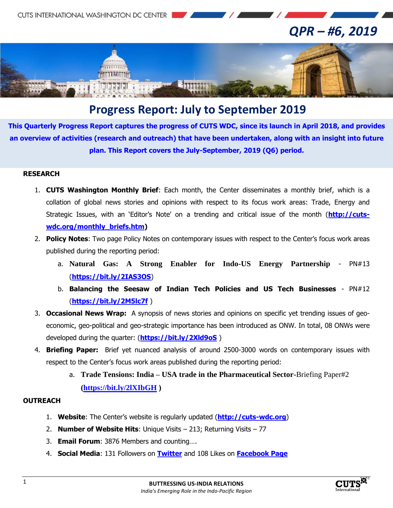**CUTS INTERNATIONAL WASHINGTON DC CENTER** 

# *QPR – #6, 2019*



## **Progress Report: July to September 2019**

**This Quarterly Progress Report captures the progress of CUTS WDC, since its launch in April 2018, and provides an overview of activities (research and outreach) that have been undertaken, along with an insight into future plan. This Report covers the July-September, 2019 (Q6) period.**

#### **RESEARCH**

- 1. **CUTS Washington Monthly Brief**: Each month, the Center disseminates a monthly brief, which is a collation of global news stories and opinions with respect to its focus work areas: Trade, Energy and Strategic Issues, with an 'Editor's Note' on a trending and critical issue of the month (**[http://cuts](http://cuts-wdc.org/monthly_briefs.htm)[wdc.org/monthly\\_briefs.htm\)](http://cuts-wdc.org/monthly_briefs.htm)**
- 2. **Policy Notes**: Two page Policy Notes on contemporary issues with respect to the Center's focus work areas published during the reporting period:
	- a. **Natural Gas: A Strong Enabler for Indo-US Energy Partnership** PN#13 (**<https://bit.ly/2IAS3OS>**)
	- b. **Balancing the Seesaw of Indian Tech Policies and US Tech Businesses** PN#12 (**<https://bit.ly/2M5lc7f>** )
- 3. **Occasional News Wrap:** A synopsis of news stories and opinions on specific yet trending issues of geoeconomic, geo-political and geo-strategic importance has been introduced as ONW. In total, 08 ONWs were developed during the quarter: (**<https://bit.ly/2Xld9oS>** )
- 4. **Briefing Paper:** Brief yet nuanced analysis of around 2500-3000 words on contemporary issues with respect to the Center's focus work areas published during the reporting period:
	- a. **Trade Tensions: India – USA trade in the Pharmaceutical Sector-**Briefing Paper#2 **[\(https://bit.ly/2lXIbGH](https://bit.ly/2lXIbGH) )**

#### **OUTREACH**

- 1. **Website**: The Center's website is regularly updated (**[http://cuts-wdc.org](http://cuts-wdc.org/)**)
- 2. **Number of Website Hits**: Unique Visits 213; Returning Visits 77
- 3. **Email Forum**: 3876 Members and counting….
- 4. **Social Media**: 131 Followers on **[Twitter](https://twitter.com/cutswdc)** and 108 Likes on **[Facebook Page](https://www.facebook.com/cutswdc)**